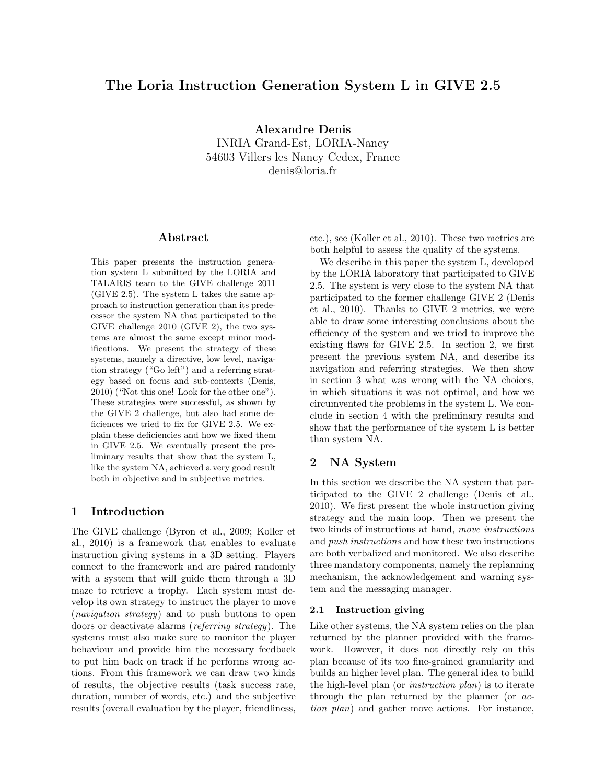# The Loria Instruction Generation System L in GIVE 2.5

Alexandre Denis INRIA Grand-Est, LORIA-Nancy 54603 Villers les Nancy Cedex, France denis@loria.fr

### Abstract

This paper presents the instruction generation system L submitted by the LORIA and TALARIS team to the GIVE challenge 2011 (GIVE 2.5). The system L takes the same approach to instruction generation than its predecessor the system NA that participated to the GIVE challenge 2010 (GIVE 2), the two systems are almost the same except minor modifications. We present the strategy of these systems, namely a directive, low level, navigation strategy ("Go left") and a referring strategy based on focus and sub-contexts (Denis, 2010) ("Not this one! Look for the other one"). These strategies were successful, as shown by the GIVE 2 challenge, but also had some deficiences we tried to fix for GIVE 2.5. We explain these deficiencies and how we fixed them in GIVE 2.5. We eventually present the preliminary results that show that the system L, like the system NA, achieved a very good result both in objective and in subjective metrics.

### 1 Introduction

The GIVE challenge (Byron et al., 2009; Koller et al., 2010) is a framework that enables to evaluate instruction giving systems in a 3D setting. Players connect to the framework and are paired randomly with a system that will guide them through a 3D maze to retrieve a trophy. Each system must develop its own strategy to instruct the player to move (navigation strategy) and to push buttons to open doors or deactivate alarms (referring strategy). The systems must also make sure to monitor the player behaviour and provide him the necessary feedback to put him back on track if he performs wrong actions. From this framework we can draw two kinds of results, the objective results (task success rate, duration, number of words, etc.) and the subjective results (overall evaluation by the player, friendliness,

etc.), see (Koller et al., 2010). These two metrics are both helpful to assess the quality of the systems.

We describe in this paper the system L, developed by the LORIA laboratory that participated to GIVE 2.5. The system is very close to the system NA that participated to the former challenge GIVE 2 (Denis et al., 2010). Thanks to GIVE 2 metrics, we were able to draw some interesting conclusions about the efficiency of the system and we tried to improve the existing flaws for GIVE 2.5. In section 2, we first present the previous system NA, and describe its navigation and referring strategies. We then show in section 3 what was wrong with the NA choices, in which situations it was not optimal, and how we circumvented the problems in the system L. We conclude in section 4 with the preliminary results and show that the performance of the system L is better than system NA.

# 2 NA System

In this section we describe the NA system that participated to the GIVE 2 challenge (Denis et al., 2010). We first present the whole instruction giving strategy and the main loop. Then we present the two kinds of instructions at hand, move instructions and push instructions and how these two instructions are both verbalized and monitored. We also describe three mandatory components, namely the replanning mechanism, the acknowledgement and warning system and the messaging manager.

#### 2.1 Instruction giving

Like other systems, the NA system relies on the plan returned by the planner provided with the framework. However, it does not directly rely on this plan because of its too fine-grained granularity and builds an higher level plan. The general idea to build the high-level plan (or instruction plan) is to iterate through the plan returned by the planner (or action plan) and gather move actions. For instance,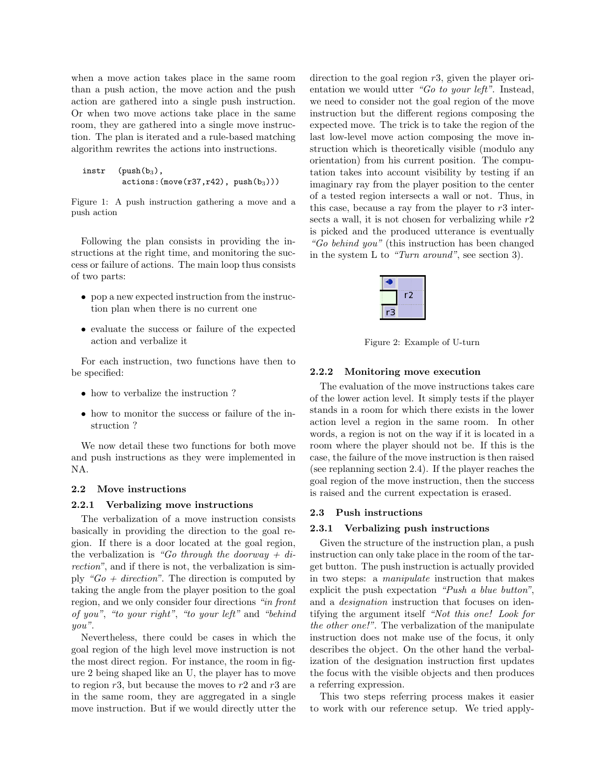when a move action takes place in the same room than a push action, the move action and the push action are gathered into a single push instruction. Or when two move actions take place in the same room, they are gathered into a single move instruction. The plan is iterated and a rule-based matching algorithm rewrites the actions into instructions.

```
instr (push(b_3),actions: (move(r37, r42), push(b<sub>3</sub>)))
```
Figure 1: A push instruction gathering a move and a push action

Following the plan consists in providing the instructions at the right time, and monitoring the success or failure of actions. The main loop thus consists of two parts:

- pop a new expected instruction from the instruction plan when there is no current one
- evaluate the success or failure of the expected action and verbalize it

For each instruction, two functions have then to be specified:

- how to verbalize the instruction?
- how to monitor the success or failure of the instruction ?

We now detail these two functions for both move and push instructions as they were implemented in NA.

### 2.2 Move instructions

### 2.2.1 Verbalizing move instructions

The verbalization of a move instruction consists basically in providing the direction to the goal region. If there is a door located at the goal region, the verbalization is "Go through the doorway + direction", and if there is not, the verbalization is simply " $Go + direction$ ". The direction is computed by taking the angle from the player position to the goal region, and we only consider four directions "in front of you", "to your right", "to your left" and "behind you".

Nevertheless, there could be cases in which the goal region of the high level move instruction is not the most direct region. For instance, the room in figure 2 being shaped like an U, the player has to move to region  $r3$ , but because the moves to  $r2$  and  $r3$  are in the same room, they are aggregated in a single move instruction. But if we would directly utter the direction to the goal region  $r3$ , given the player orientation we would utter "Go to your left". Instead, we need to consider not the goal region of the move instruction but the different regions composing the expected move. The trick is to take the region of the last low-level move action composing the move instruction which is theoretically visible (modulo any orientation) from his current position. The computation takes into account visibility by testing if an imaginary ray from the player position to the center of a tested region intersects a wall or not. Thus, in this case, because a ray from the player to  $r3$  intersects a wall, it is not chosen for verbalizing while  $r2$ is picked and the produced utterance is eventually "Go behind you" (this instruction has been changed in the system L to "Turn around", see section 3).

| ٠<br>۰                                             |
|----------------------------------------------------|
| ٠<br>۰<br>٠<br>i                                   |
| ī                                                  |
| ٠                                                  |
| ٠                                                  |
| ٠                                                  |
| ٠<br>٠                                             |
|                                                    |
| . .<br><b>***********</b><br>٠<br>ï<br>٠<br>٠<br>٠ |
|                                                    |
|                                                    |
|                                                    |
|                                                    |
| -                                                  |
|                                                    |
|                                                    |
| ٠<br>--<br>٠<br>٠<br>٠<br>٠<br>٠<br>٠<br>٠         |
| ÷,                                                 |
| i<br>in 19                                         |
|                                                    |
| ٠<br>a<br>M                                        |
| ۰                                                  |
| ۰                                                  |
| ł                                                  |
|                                                    |
|                                                    |

Figure 2: Example of U-turn

#### 2.2.2 Monitoring move execution

The evaluation of the move instructions takes care of the lower action level. It simply tests if the player stands in a room for which there exists in the lower action level a region in the same room. In other words, a region is not on the way if it is located in a room where the player should not be. If this is the case, the failure of the move instruction is then raised (see replanning section 2.4). If the player reaches the goal region of the move instruction, then the success is raised and the current expectation is erased.

### 2.3 Push instructions

#### 2.3.1 Verbalizing push instructions

Given the structure of the instruction plan, a push instruction can only take place in the room of the target button. The push instruction is actually provided in two steps: a manipulate instruction that makes explicit the push expectation "Push a blue button", and a designation instruction that focuses on identifying the argument itself "Not this one! Look for the other one!". The verbalization of the manipulate instruction does not make use of the focus, it only describes the object. On the other hand the verbalization of the designation instruction first updates the focus with the visible objects and then produces a referring expression.

This two steps referring process makes it easier to work with our reference setup. We tried apply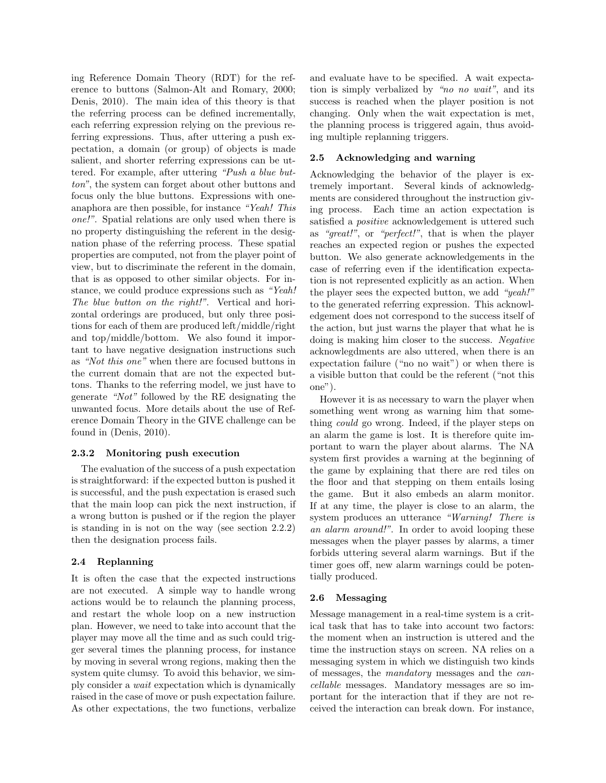ing Reference Domain Theory (RDT) for the reference to buttons (Salmon-Alt and Romary, 2000; Denis, 2010). The main idea of this theory is that the referring process can be defined incrementally, each referring expression relying on the previous referring expressions. Thus, after uttering a push expectation, a domain (or group) of objects is made salient, and shorter referring expressions can be uttered. For example, after uttering "Push a blue button", the system can forget about other buttons and focus only the blue buttons. Expressions with oneanaphora are then possible, for instance "Yeah! This one!". Spatial relations are only used when there is no property distinguishing the referent in the designation phase of the referring process. These spatial properties are computed, not from the player point of view, but to discriminate the referent in the domain, that is as opposed to other similar objects. For instance, we could produce expressions such as "Yeah! The blue button on the right!". Vertical and horizontal orderings are produced, but only three positions for each of them are produced left/middle/right and top/middle/bottom. We also found it important to have negative designation instructions such as "Not this one" when there are focused buttons in the current domain that are not the expected buttons. Thanks to the referring model, we just have to generate "Not" followed by the RE designating the unwanted focus. More details about the use of Reference Domain Theory in the GIVE challenge can be found in (Denis, 2010).

### 2.3.2 Monitoring push execution

The evaluation of the success of a push expectation is straightforward: if the expected button is pushed it is successful, and the push expectation is erased such that the main loop can pick the next instruction, if a wrong button is pushed or if the region the player is standing in is not on the way (see section 2.2.2) then the designation process fails.

# 2.4 Replanning

It is often the case that the expected instructions are not executed. A simple way to handle wrong actions would be to relaunch the planning process, and restart the whole loop on a new instruction plan. However, we need to take into account that the player may move all the time and as such could trigger several times the planning process, for instance by moving in several wrong regions, making then the system quite clumsy. To avoid this behavior, we simply consider a wait expectation which is dynamically raised in the case of move or push expectation failure. As other expectations, the two functions, verbalize

and evaluate have to be specified. A wait expectation is simply verbalized by "no no wait", and its success is reached when the player position is not changing. Only when the wait expectation is met, the planning process is triggered again, thus avoiding multiple replanning triggers.

# 2.5 Acknowledging and warning

Acknowledging the behavior of the player is extremely important. Several kinds of acknowledgments are considered throughout the instruction giving process. Each time an action expectation is satisfied a *positive* acknowledgement is uttered such as "great!", or "perfect!", that is when the player reaches an expected region or pushes the expected button. We also generate acknowledgements in the case of referring even if the identification expectation is not represented explicitly as an action. When the player sees the expected button, we add "yeah!" to the generated referring expression. This acknowledgement does not correspond to the success itself of the action, but just warns the player that what he is doing is making him closer to the success. Negative acknowlegdments are also uttered, when there is an expectation failure ("no no wait") or when there is a visible button that could be the referent ("not this one").

However it is as necessary to warn the player when something went wrong as warning him that something could go wrong. Indeed, if the player steps on an alarm the game is lost. It is therefore quite important to warn the player about alarms. The NA system first provides a warning at the beginning of the game by explaining that there are red tiles on the floor and that stepping on them entails losing the game. But it also embeds an alarm monitor. If at any time, the player is close to an alarm, the system produces an utterance "Warning! There is an alarm around!". In order to avoid looping these messages when the player passes by alarms, a timer forbids uttering several alarm warnings. But if the timer goes off, new alarm warnings could be potentially produced.

# 2.6 Messaging

Message management in a real-time system is a critical task that has to take into account two factors: the moment when an instruction is uttered and the time the instruction stays on screen. NA relies on a messaging system in which we distinguish two kinds of messages, the mandatory messages and the cancellable messages. Mandatory messages are so important for the interaction that if they are not received the interaction can break down. For instance,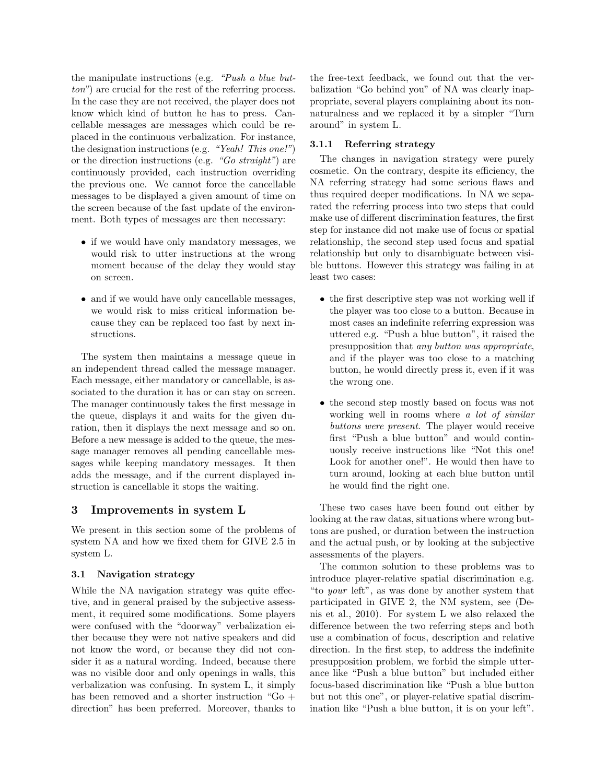the manipulate instructions (e.g. "Push a blue button") are crucial for the rest of the referring process. In the case they are not received, the player does not know which kind of button he has to press. Cancellable messages are messages which could be replaced in the continuous verbalization. For instance, the designation instructions (e.g. "Yeah! This one!") or the direction instructions (e.g.  $"Go\ straight")$  are continuously provided, each instruction overriding the previous one. We cannot force the cancellable messages to be displayed a given amount of time on the screen because of the fast update of the environment. Both types of messages are then necessary:

- if we would have only mandatory messages, we would risk to utter instructions at the wrong moment because of the delay they would stay on screen.
- and if we would have only cancellable messages, we would risk to miss critical information because they can be replaced too fast by next instructions.

The system then maintains a message queue in an independent thread called the message manager. Each message, either mandatory or cancellable, is associated to the duration it has or can stay on screen. The manager continuously takes the first message in the queue, displays it and waits for the given duration, then it displays the next message and so on. Before a new message is added to the queue, the message manager removes all pending cancellable messages while keeping mandatory messages. It then adds the message, and if the current displayed instruction is cancellable it stops the waiting.

# 3 Improvements in system L

We present in this section some of the problems of system NA and how we fixed them for GIVE 2.5 in system L.

# 3.1 Navigation strategy

While the NA navigation strategy was quite effective, and in general praised by the subjective assessment, it required some modifications. Some players were confused with the "doorway" verbalization either because they were not native speakers and did not know the word, or because they did not consider it as a natural wording. Indeed, because there was no visible door and only openings in walls, this verbalization was confusing. In system L, it simply has been removed and a shorter instruction "Go + direction" has been preferred. Moreover, thanks to

the free-text feedback, we found out that the verbalization "Go behind you" of NA was clearly inappropriate, several players complaining about its nonnaturalness and we replaced it by a simpler "Turn around" in system L.

### 3.1.1 Referring strategy

The changes in navigation strategy were purely cosmetic. On the contrary, despite its efficiency, the NA referring strategy had some serious flaws and thus required deeper modifications. In NA we separated the referring process into two steps that could make use of different discrimination features, the first step for instance did not make use of focus or spatial relationship, the second step used focus and spatial relationship but only to disambiguate between visible buttons. However this strategy was failing in at least two cases:

- the first descriptive step was not working well if the player was too close to a button. Because in most cases an indefinite referring expression was uttered e.g. "Push a blue button", it raised the presupposition that any button was appropriate, and if the player was too close to a matching button, he would directly press it, even if it was the wrong one.
- the second step mostly based on focus was not working well in rooms where a lot of similar buttons were present. The player would receive first "Push a blue button" and would continuously receive instructions like "Not this one! Look for another one!". He would then have to turn around, looking at each blue button until he would find the right one.

These two cases have been found out either by looking at the raw datas, situations where wrong buttons are pushed, or duration between the instruction and the actual push, or by looking at the subjective assessments of the players.

The common solution to these problems was to introduce player-relative spatial discrimination e.g. "to your left", as was done by another system that participated in GIVE 2, the NM system, see (Denis et al., 2010). For system L we also relaxed the difference between the two referring steps and both use a combination of focus, description and relative direction. In the first step, to address the indefinite presupposition problem, we forbid the simple utterance like "Push a blue button" but included either focus-based discrimination like "Push a blue button but not this one", or player-relative spatial discrimination like "Push a blue button, it is on your left".